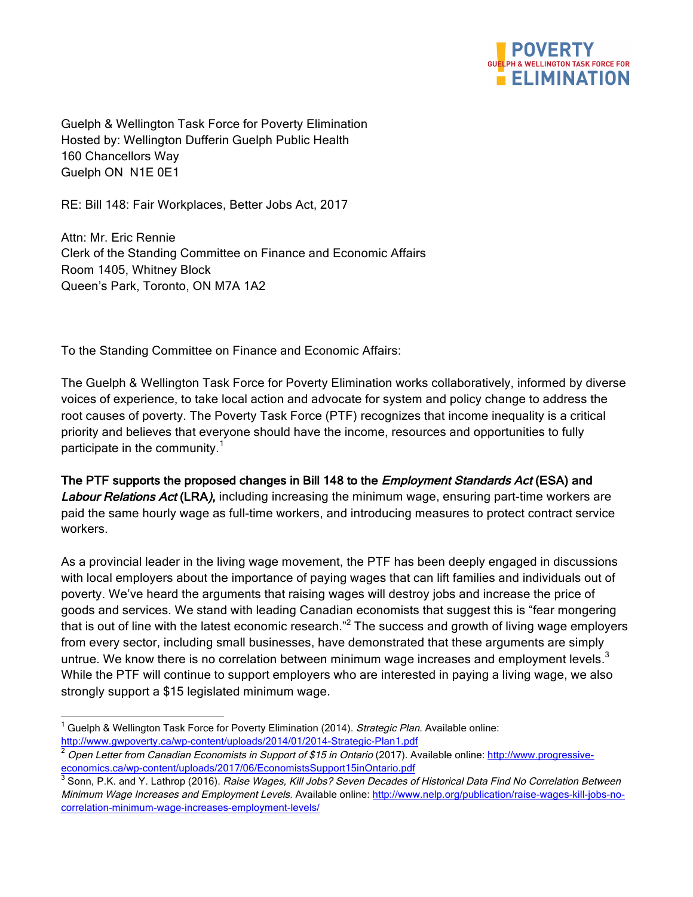

Guelph & Wellington Task Force for Poverty Elimination Hosted by: Wellington Dufferin Guelph Public Health 160 Chancellors Way Guelph ON N1E 0E1

RE: Bill 148: Fair Workplaces, Better Jobs Act, 2017

Attn: Mr. Eric Rennie Clerk of the Standing Committee on Finance and Economic Affairs Room 1405, Whitney Block Queen's Park, Toronto, ON M7A 1A2

To the Standing Committee on Finance and Economic Affairs:

The Guelph & Wellington Task Force for Poverty Elimination works collaboratively, informed by diverse voices of experience, to take local action and advocate for system and policy change to address the root causes of poverty. The Poverty Task Force (PTF) recognizes that income inequality is a critical priority and believes that everyone should have the income, resources and opportunities to fully participate in the community.<sup>1</sup>

The PTF supports the proposed changes in Bill 148 to the *Employment Standards Act* (ESA) and Labour Relations Act (LRA), including increasing the minimum wage, ensuring part-time workers are paid the same hourly wage as full-time workers, and introducing measures to protect contract service workers.

As a provincial leader in the living wage movement, the PTF has been deeply engaged in discussions with local employers about the importance of paying wages that can lift families and individuals out of poverty. We've heard the arguments that raising wages will destroy jobs and increase the price of goods and services. We stand with leading Canadian economists that suggest this is "fear mongering that is out of line with the latest economic research.<sup>"2</sup> The success and growth of living wage employers from every sector, including small businesses, have demonstrated that these arguments are simply untrue. We know there is no correlation between minimum wage increases and employment levels.<sup>3</sup> While the PTF will continue to support employers who are interested in paying a living wage, we also strongly support a \$15 legislated minimum wage.

Guelph & Wellington Task Force for Poverty Elimination (2014). Strategic Plan. Available online: http://www.gwpoverty.ca/wp-content/uploads/2014/01/2014-Strategic-Plan1.pdf

<sup>&</sup>lt;sup>2</sup> Open Letter from Canadian Economists in Support of \$15 in Ontario (2017). Available online: http://www.progressiveeconomics.ca/wp-content/uploads/2017/06/EconomistsSupport15inOntario.pdf

<sup>&</sup>lt;sup>3</sup> Sonn, P.K. and Y. Lathrop (2016). Raise Wages, Kill Jobs? Seven Decades of Historical Data Find No Correlation Between Minimum Wage Increases and Employment Levels. Available online: http://www.nelp.org/publication/raise-wages-kill-jobs-nocorrelation-minimum-wage-increases-employment-levels/